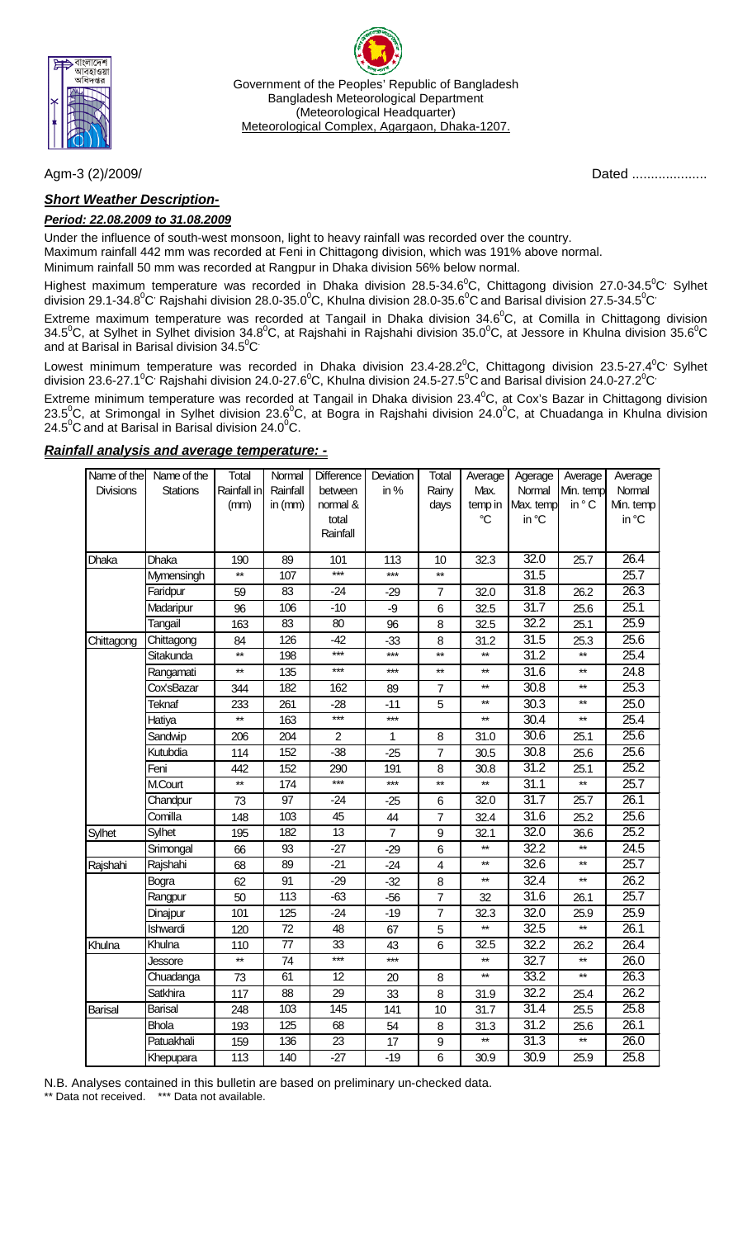

Government of the Peoples' Republic of Bangladesh Bangladesh Meteorological Department (Meteorological Headquarter) Meteorological Complex, Agargaon, Dhaka-1207.

### *Short Weather Description-*

### *Period: 22.08.2009 to 31.08.2009*

Under the influence of south-west monsoon, light to heavy rainfall was recorded over the country.

Maximum rainfall 442 mm was recorded at Feni in Chittagong division, which was 191% above normal.

Minimum rainfall 50 mm was recorded at Rangpur in Dhaka division 56% below normal.

Highest maximum temperature was recorded in Dhaka division 28.5-34.6 $^0$ C, Chittagong division 27.0-34.5 $^0$ C' Sylhet division 29.1-34.8<sup>0</sup>C<sup>,</sup> Rajshahi division 28.0-35.0<sup>0</sup>C, Khulna division 28.0-35.6<sup>0</sup>C and Barisal division 27.5-34.5<sup>0</sup>C<sup>,</sup>

Extreme maximum temperature was recorded at Tangail in Dhaka division 34.6<sup>o</sup>C, at Comilla in Chittagong division 34.5<sup>0</sup>C, at Sylhet in Sylhet division 34.8<sup>0</sup>C, at Rajshahi in Rajshahi division 35.0<sup>0</sup>C, at Jessore in Khulna division 35.6<sup>0</sup>C and at Barisal in Barisal division  $34.5^{\circ}$ C

Lowest minimum temperature was recorded in Dhaka division 23.4-28.2 $^0$ C, Chittagong division 23.5-27.4 $^0$ C' Sylhet division 23.6-27.1<sup>0</sup>C<sup>,</sup> Rajshahi division 24.0-27.6<sup>0</sup>C, Khulna division 24.5-27.5<sup>0</sup>C and Barisal division 24.0-27.2<sup>0</sup>C<sup>,</sup>

Extreme minimum temperature was recorded at Tangail in Dhaka division 23.4<sup>0</sup>C, at Cox's Bazar in Chittagong division 23.5<sup>0</sup>C, at Srimongal in Sylhet division 23.6<sup>0</sup>C, at Bogra in Rajshahi division 24.0<sup>0</sup>C, at Chuadanga in Khulna division 24.5 $\mathrm{^0C}$  and at Barisal in Barisal division 24.0 $\mathrm{^0C}$ .

#### *Rainfall analysis and average temperature: -*

| Name of the | Name of the     | Total        | Normal   | Difference      | Deviation      | Total                   | Average         |                   | Agerage   Average | Average           |
|-------------|-----------------|--------------|----------|-----------------|----------------|-------------------------|-----------------|-------------------|-------------------|-------------------|
| Divisions   | <b>Stations</b> | Rainfall in  | Rainfall | between         | in $%$         | Rainy                   | Max.            | Normal            | Min. temp         | Normal            |
|             |                 | (mm)         | in (mm)  | normal &        |                | days                    | temp in         | Max. temp         | in °C             | Min. temp         |
|             |                 |              |          | total           |                |                         | $\rm ^{\circ}C$ | in °C             |                   | in °C             |
|             |                 |              |          | Rainfall        |                |                         |                 |                   |                   |                   |
| Dhaka       | Dhaka           | 190          | 89       | 101             | 113            | 10                      | 32.3            | 32.0              | 25.7              | 26.4              |
|             | Mymensingh      | $\star\star$ | 107      | $***$           | ***            | $\star\star$            |                 | 31.5              |                   | 25.7              |
|             | Faridpur        | 59           | 83       | $-24$           | $-29$          | $\overline{7}$          | 32.0            | 31.8              | 26.2              | 26.3              |
|             | Madaripur       | 96           | 106      | $-10$           | -9             | 6                       | 32.5            | 31.7              | 25.6              | 25.1              |
|             | Tangail         | 163          | 83       | 80              | 96             | 8                       | 32.5            | 32.2              | 25.1              | 25.9              |
| Chittagong  | Chittagong      | 84           | 126      | $-42$           | $-33$          | 8                       | 31.2            | 31.5              | 25.3              | 25.6              |
|             | Sitakunda       | $\star\star$ | 198      | $***$           | ***            | $\star\star$            | $\star\star$    | 31.2              | $\star\star$      | 25.4              |
|             | Rangamati       | $\star\star$ | 135      | $***$           | ***            | $\star\star$            | $\star\star$    | $\overline{31.6}$ | $\star\star$      | 24.8              |
|             | Cox'sBazar      | 344          | 182      | 162             | 89             | $\overline{7}$          | $\star\star$    | 30.8              | $\star\star$      | 25.3              |
|             | Teknaf          | 233          | 261      | $-28$           | $-11$          | 5                       | $^{\star\star}$ | 30.3              | $\star\star$      | 25.0              |
|             | Hatiya          | $\star\star$ | 163      | $***$           | $***$          |                         | $^{\star\star}$ | 30.4              | $\star\star$      | 25.4              |
|             | Sandwip         | 206          | 204      | $\overline{c}$  | 1              | 8                       | 31.0            | 30.6              | 25.1              | 25.6              |
|             | Kutubdia        | 114          | 152      | $-38$           | $-25$          | $\overline{7}$          | 30.5            | 30.8              | 25.6              | 25.6              |
|             | Feni            | 442          | 152      | 290             | 191            | 8                       | 30.8            | 31.2              | 25.1              | 25.2              |
|             | M.Court         | $\star\star$ | 174      | $***$           | $***$          | $\star\star$            | $\star\star$    | 31.1              | $\star\star$      | 25.7              |
|             | Chandpur        | 73           | 97       | $-24$           | $-25$          | 6                       | 32.0            | 31.7              | 25.7              | 26.1              |
|             | Comilla         | 148          | 103      | 45              | 44             | $\overline{7}$          | 32.4            | 31.6              | 25.2              | 25.6              |
| Sylhet      | Sylhet          | 195          | 182      | 13              | $\overline{7}$ | 9                       | 32.1            | 32.0              | 36.6              | 25.2              |
|             | Srimongal       | 66           | 93       | $-27$           | $-29$          | 6                       | $\star\star$    | 32.2              | $\star\star$      | 24.5              |
| Rajshahi    | Rajshahi        | 68           | 89       | $-21$           | $-24$          | $\overline{\mathbf{4}}$ | $**$            | 32.6              | $\star\star$      | 25.7              |
|             | <b>Bogra</b>    | 62           | 91       | $-29$           | $-32$          | 8                       | $**$            | 32.4              | $^{\star\star}$   | 26.2              |
|             | Rangpur         | 50           | 113      | $-63$           | $-56$          | $\overline{7}$          | 32              | $\overline{31.6}$ | 26.1              | 25.7              |
|             | Dinajpur        | 101          | 125      | $-24$           | $-19$          | $\overline{7}$          | 32.3            | 32.0              | 25.9              | 25.9              |
|             | Ishwardi        | 120          | 72       | 48              | 67             | 5                       | $\star\star$    | 32.5              | $\star\star$      | 26.1              |
| Khulna      | Khulna          | 110          | $77\,$   | 33              | 43             | 6                       | 32.5            | 32.2              | 26.2              | 26.4              |
|             | Jessore         | $\star\star$ | 74       | $***$           | ***            |                         | $**$            | 32.7              | $^{\star\star}$   | $\overline{26.0}$ |
|             | Chuadanga       | 73           | 61       | 12              | 20             | 8                       | $^{\star\star}$ | 33.2              | $^{\star\star}$   | 26.3              |
|             | Satkhira        | 117          | 88       | 29              | 33             | 8                       | 31.9            | 32.2              | 25.4              | 26.2              |
| Barisal     | <b>Barisal</b>  | 248          | 103      | 145             | 141            | 10                      | 31.7            | 31.4              | 25.5              | 25.8              |
|             | <b>Bhola</b>    | 193          | 125      | 68              | 54             | 8                       | 31.3            | 31.2              | 25.6              | 26.1              |
|             | Patuakhali      | 159          | 136      | $\overline{23}$ | 17             | $\boldsymbol{9}$        | $\star\star$    | 31.3              | $^{\star\star}$   | 26.0              |
|             | Khepupara       | 113          | 140      | $-27$           | $-19$          | 6                       | 30.9            | 30.9              | 25.9              | 25.8              |

N.B. Analyses contained in this bulletin are based on preliminary un-checked data.

\*\* Data not received. \*\*\* Data not available.

Agm-3 (2)/2009/ Dated ....................